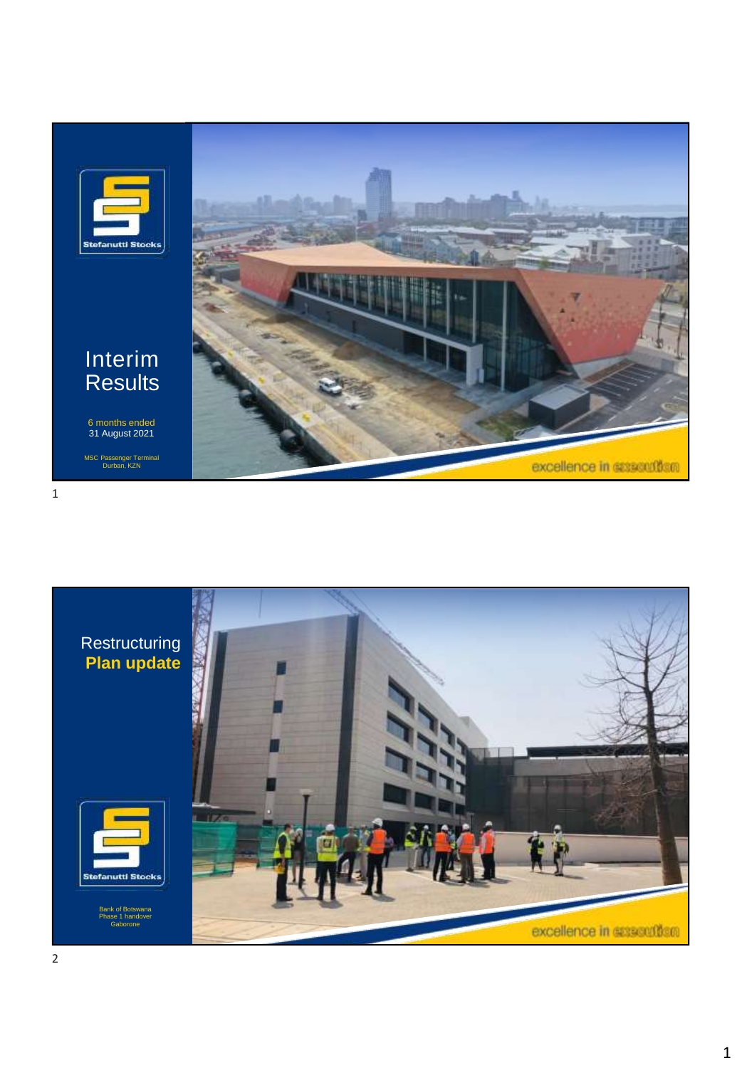

#### Interim **Results**

6 months ended 31 August 2021

MSC Passenger Terminal Durban, KZN





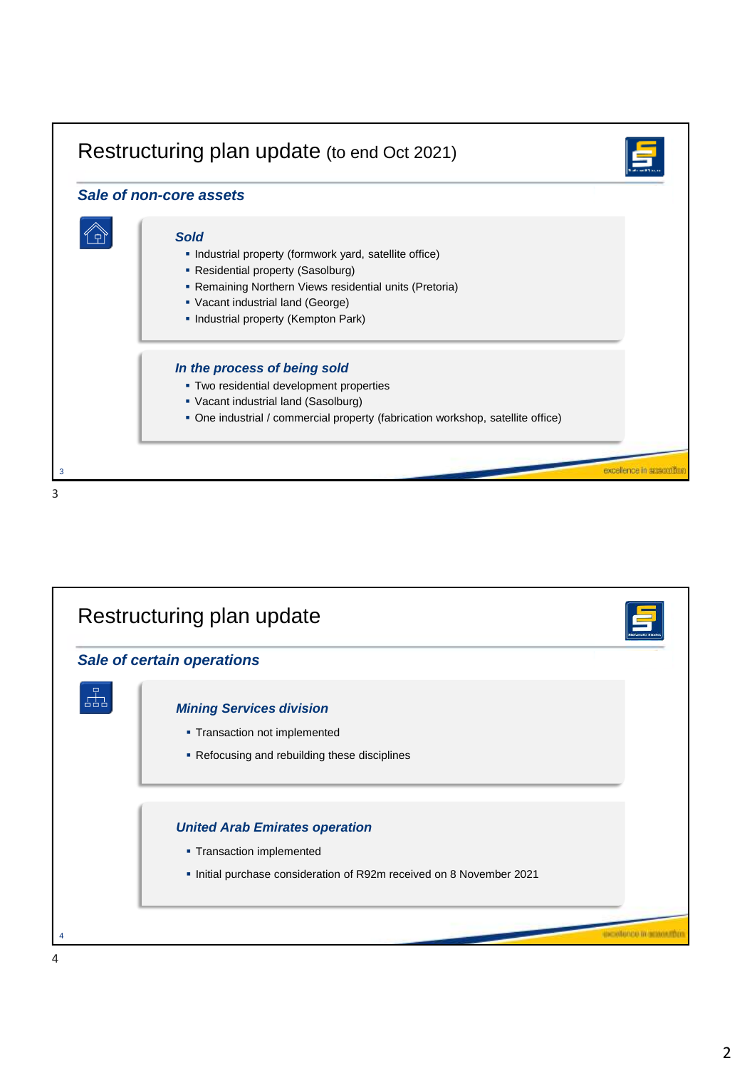

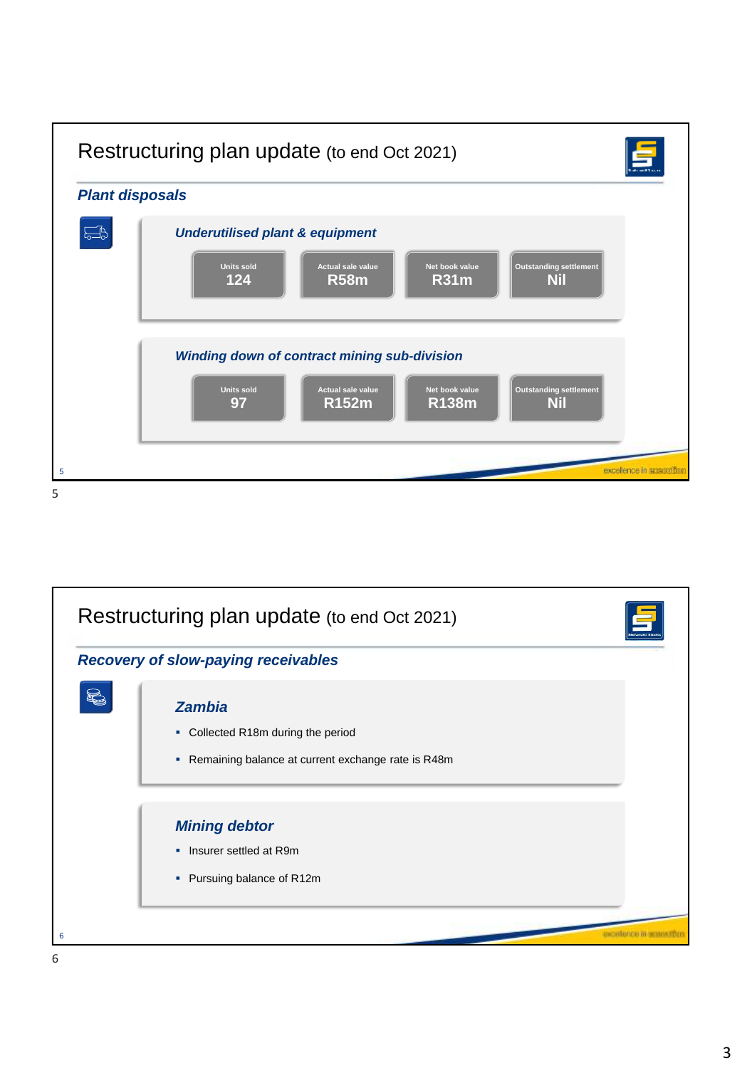

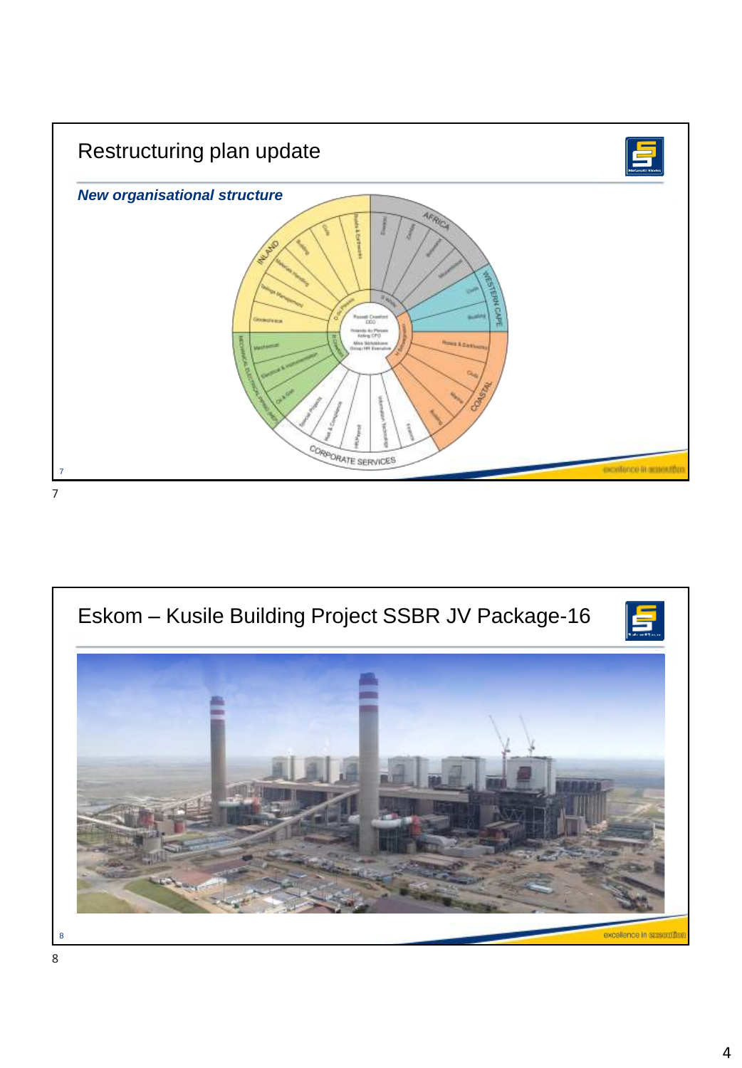

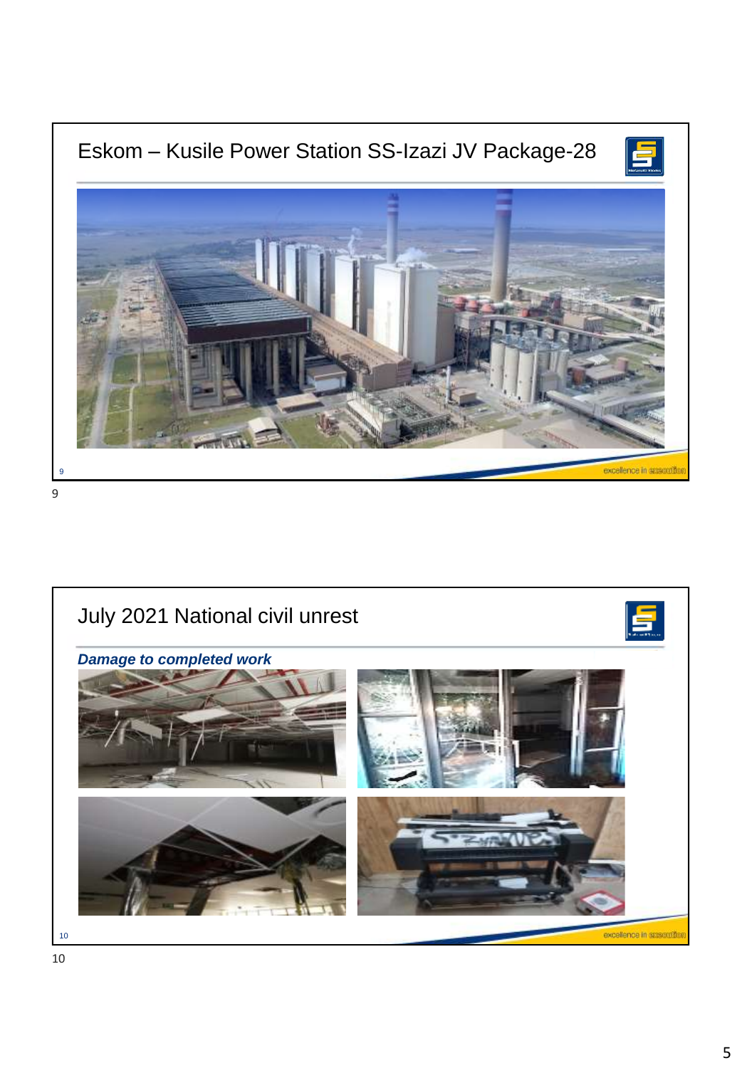

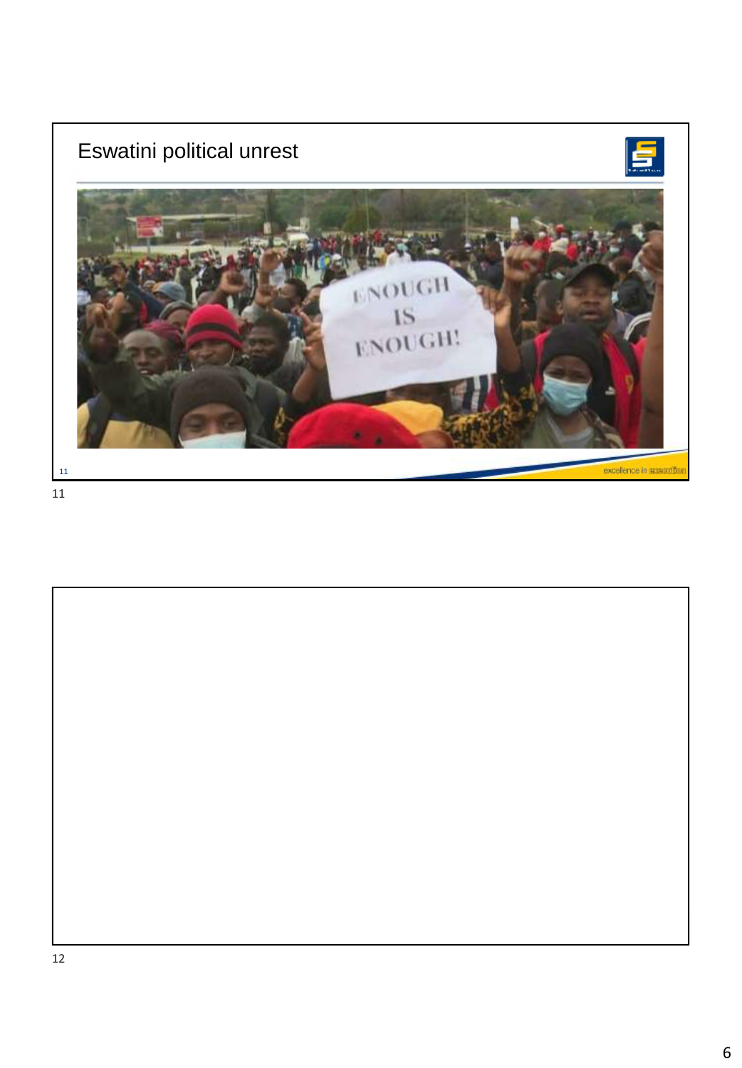

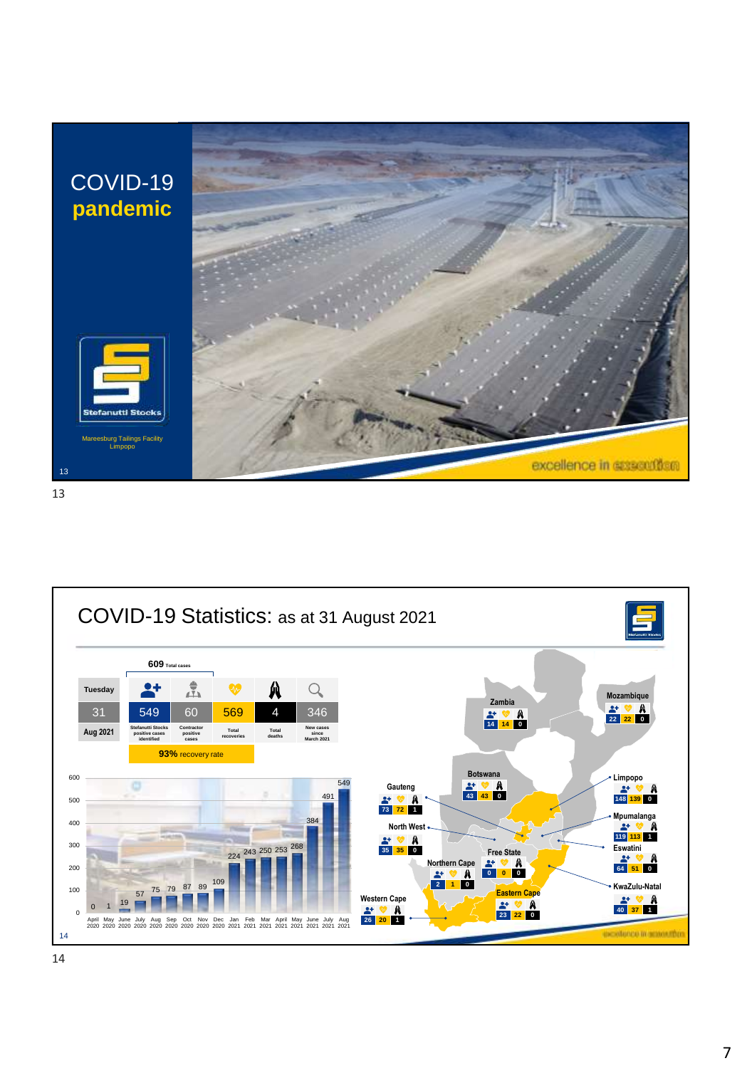

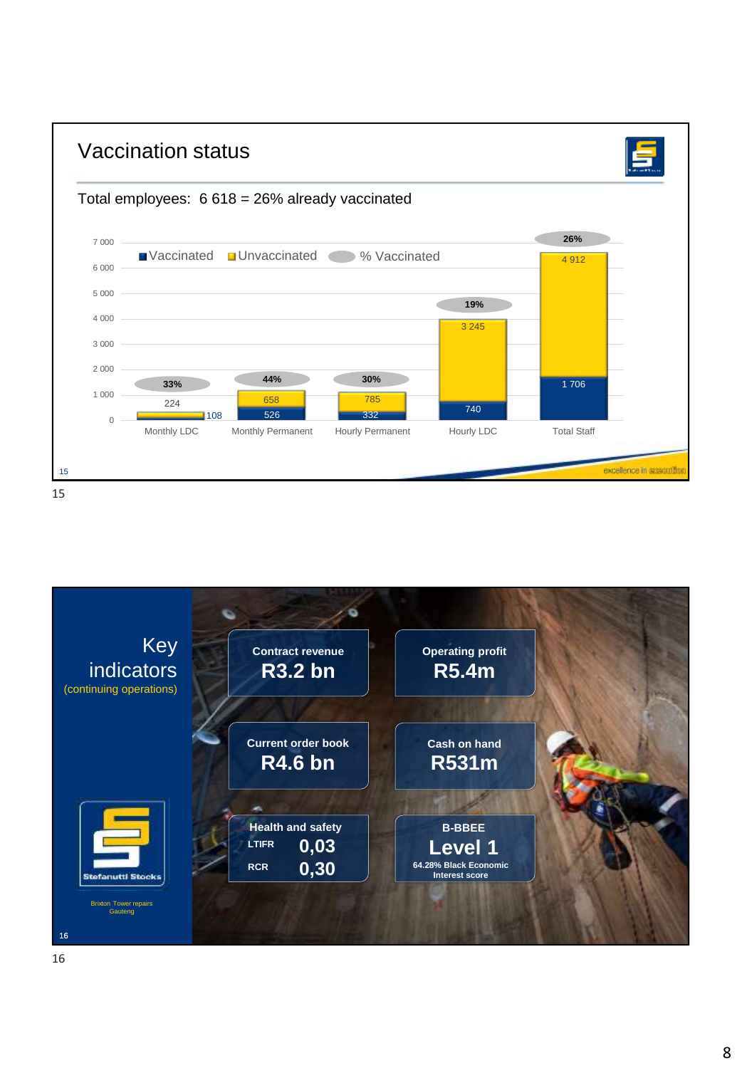

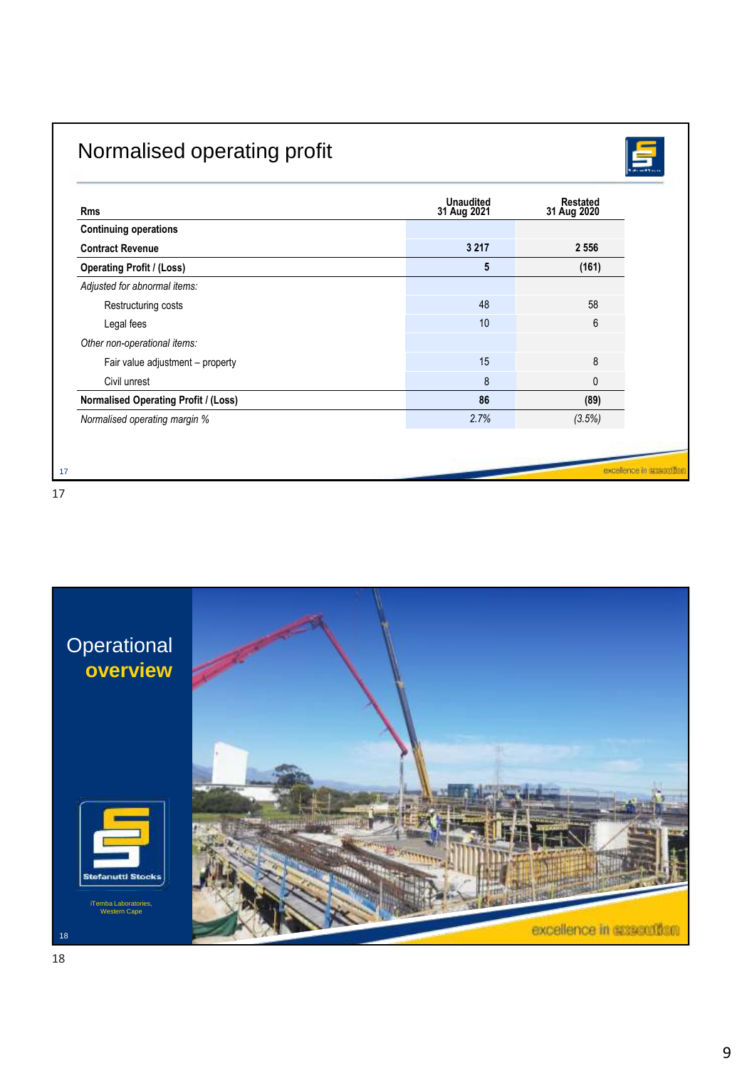# Normalised operating profit



| <b>Rms</b>                                  | <b>Unaudited</b><br>31 Aug 2021 | Restated<br>31 Aug 2020 |
|---------------------------------------------|---------------------------------|-------------------------|
| <b>Continuing operations</b>                |                                 |                         |
| <b>Contract Revenue</b>                     | 3 2 1 7                         | 2 5 5 6                 |
| <b>Operating Profit / (Loss)</b>            | 5                               | (161)                   |
| Adjusted for abnormal items:                |                                 |                         |
| Restructuring costs                         | 48                              | 58                      |
| Legal fees                                  | 10                              | 6                       |
| Other non-operational items:                |                                 |                         |
| Fair value adjustment - property            | 15                              | 8                       |
| Civil unrest                                | 8                               | 0                       |
| <b>Normalised Operating Profit / (Loss)</b> | 86                              | (89)                    |
| Normalised operating margin %               | 2.7%                            | (3.5%)                  |

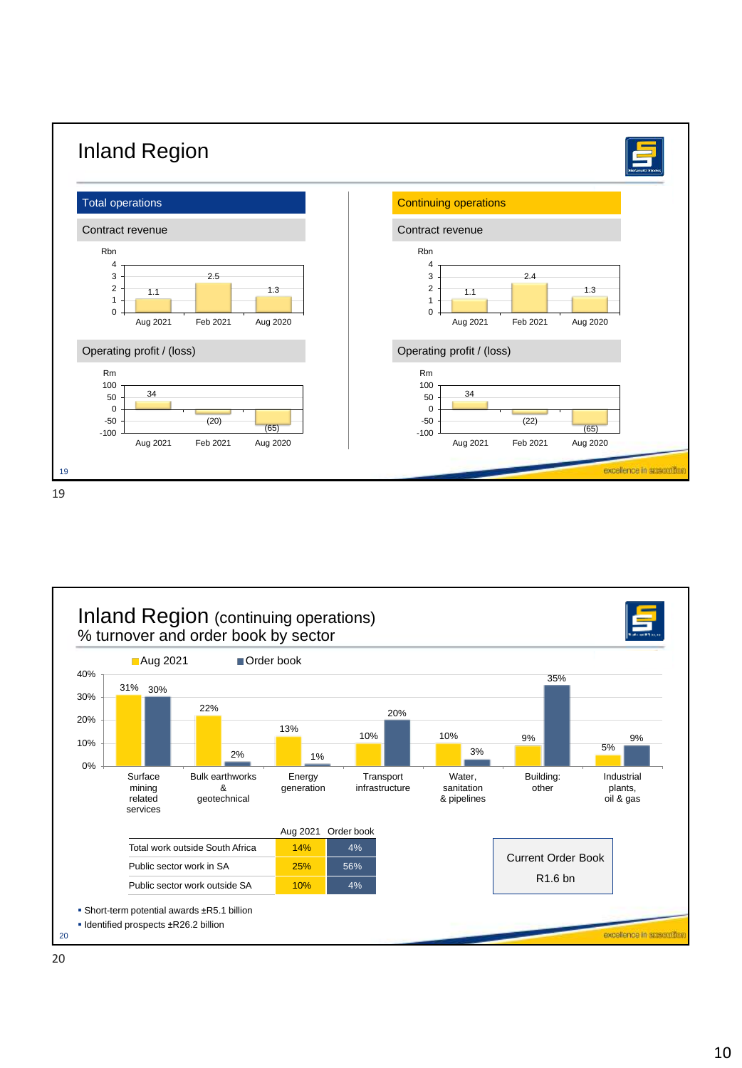

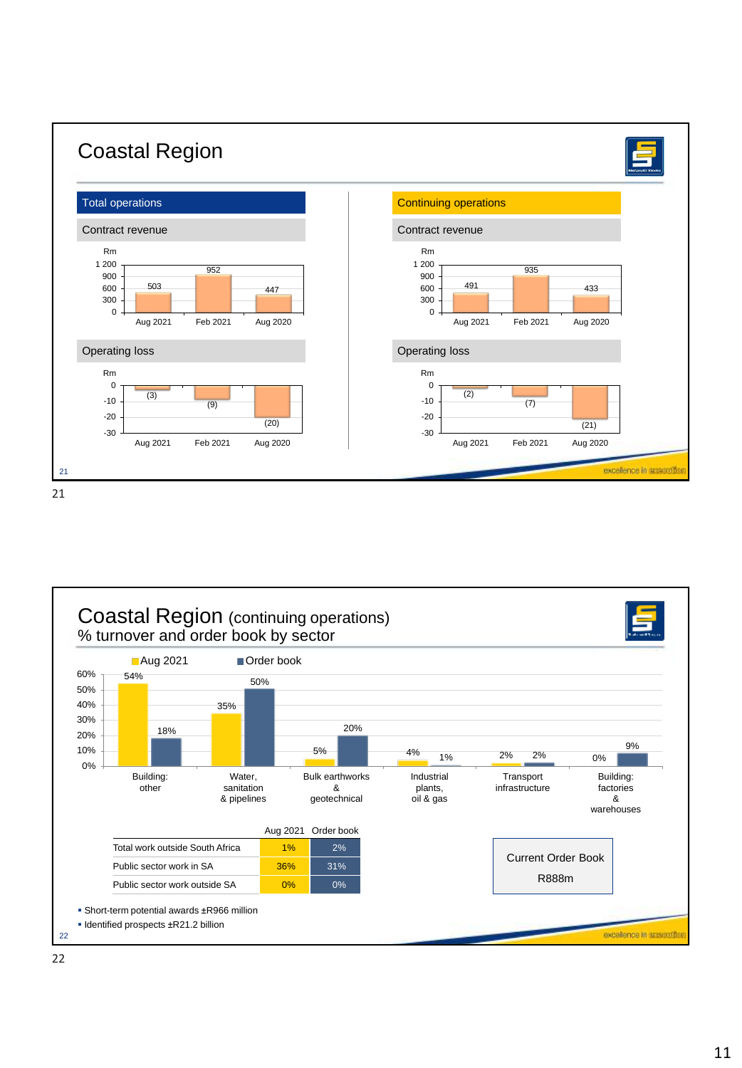

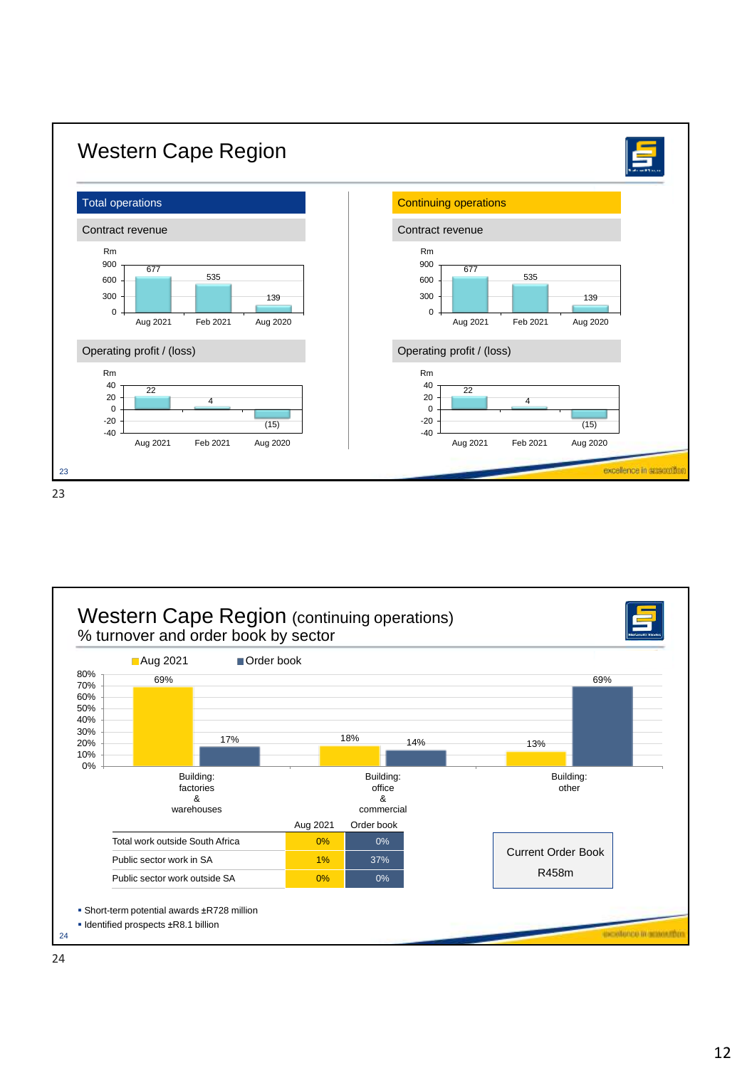

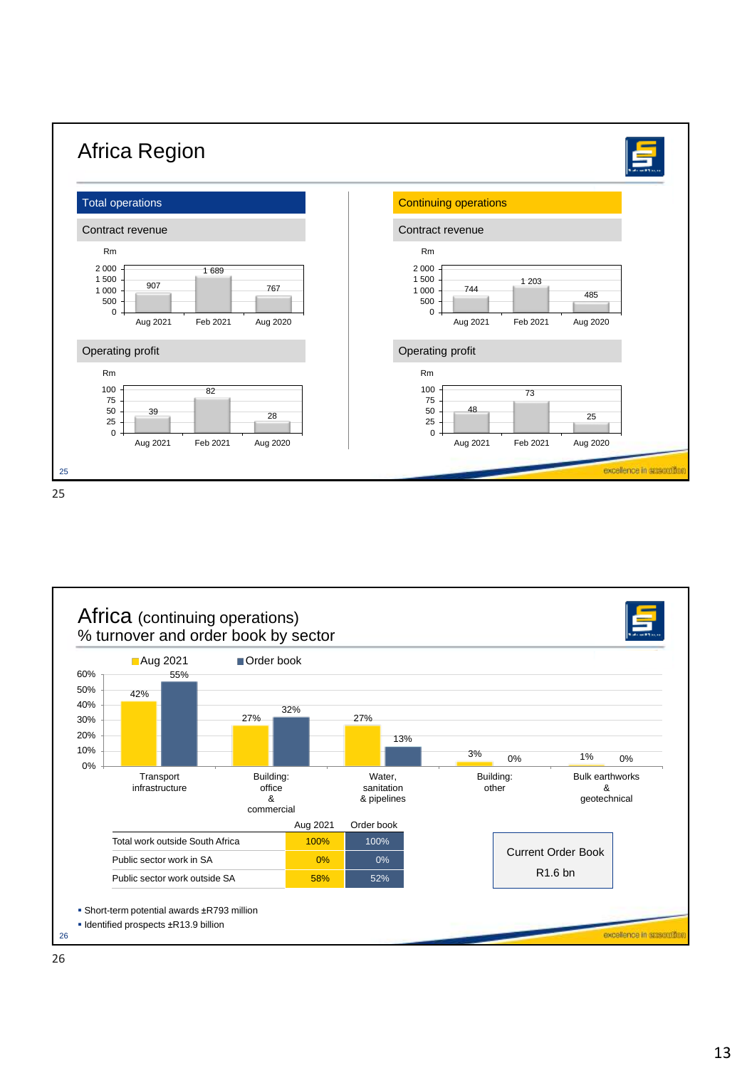

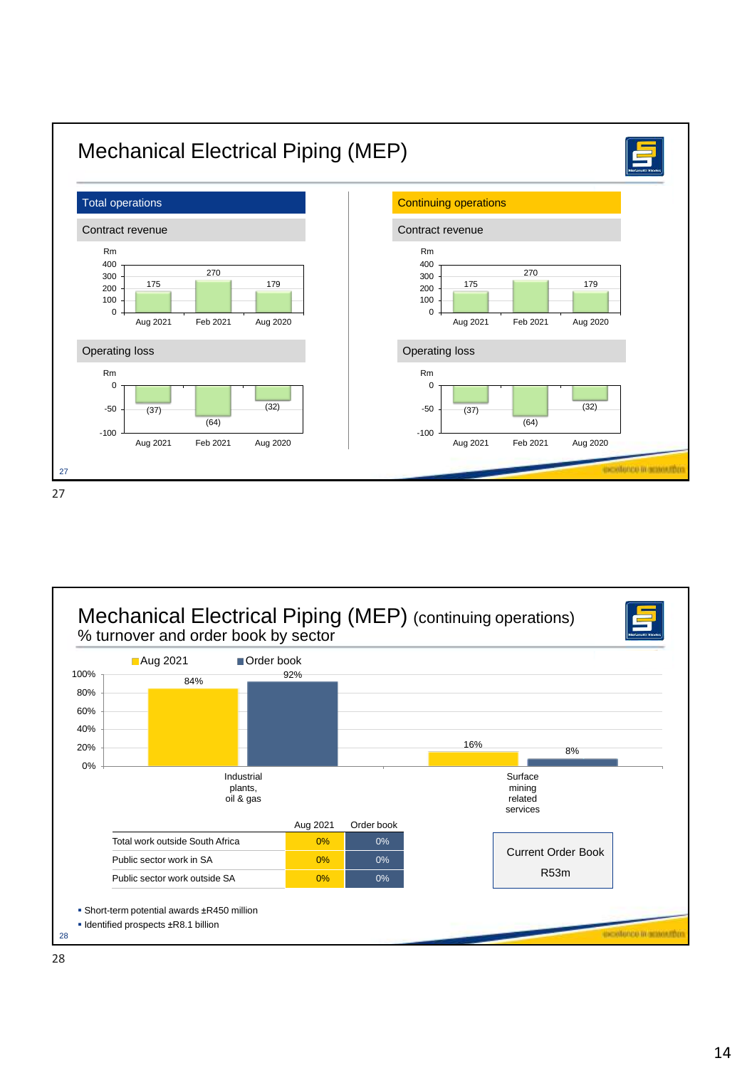

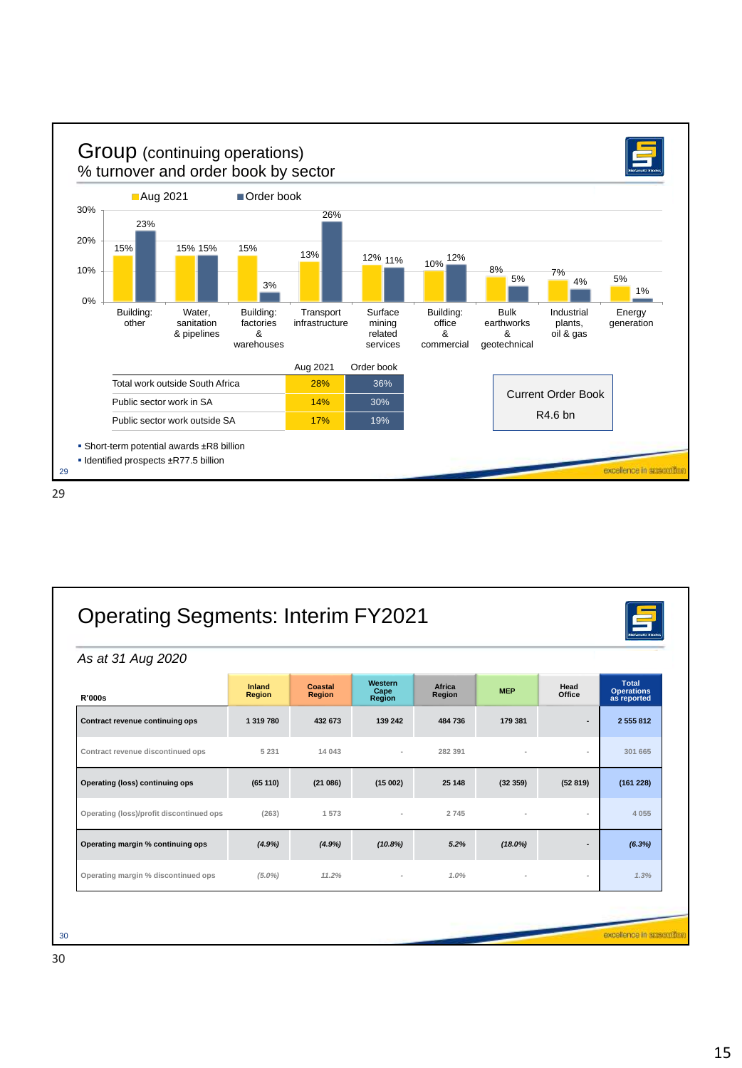

| As at 31 Aug 2020                        |                         |                                 |                                  |                  |            |                |                                                  |
|------------------------------------------|-------------------------|---------------------------------|----------------------------------|------------------|------------|----------------|--------------------------------------------------|
| <b>R'000s</b>                            | Inland<br><b>Region</b> | <b>Coastal</b><br><b>Region</b> | Western<br>Cape<br><b>Region</b> | Africa<br>Region | <b>MEP</b> | Head<br>Office | <b>Total</b><br><b>Operations</b><br>as reported |
| Contract revenue continuing ops          | 1 319 780               | 432 673                         | 139 242                          | 484 736          | 179 381    |                | 2 5 5 5 8 1 2                                    |
| Contract revenue discontinued ops        | 5 2 3 1                 | 14 043                          |                                  | 282 391          |            |                | 301 665                                          |
| <b>Operating (loss) continuing ops</b>   | (65 110)                | (21086)                         | (15002)                          | 25 148           | (32359)    | (52819)        | (161 228)                                        |
| Operating (loss)/profit discontinued ops | (263)                   | 1 573                           | $\sim$                           | 2745             |            | $\overline{a}$ | 4 0 5 5                                          |
| Operating margin % continuing ops        | (4.9%)                  | (4.9%)                          | (10.8%)                          | 5.2%             | $(18.0\%)$ |                | (6.3%)                                           |
| Operating margin % discontinued ops      | $(5.0\%)$               | 11.2%                           |                                  | 1.0%             |            | $\overline{a}$ | 1.3%                                             |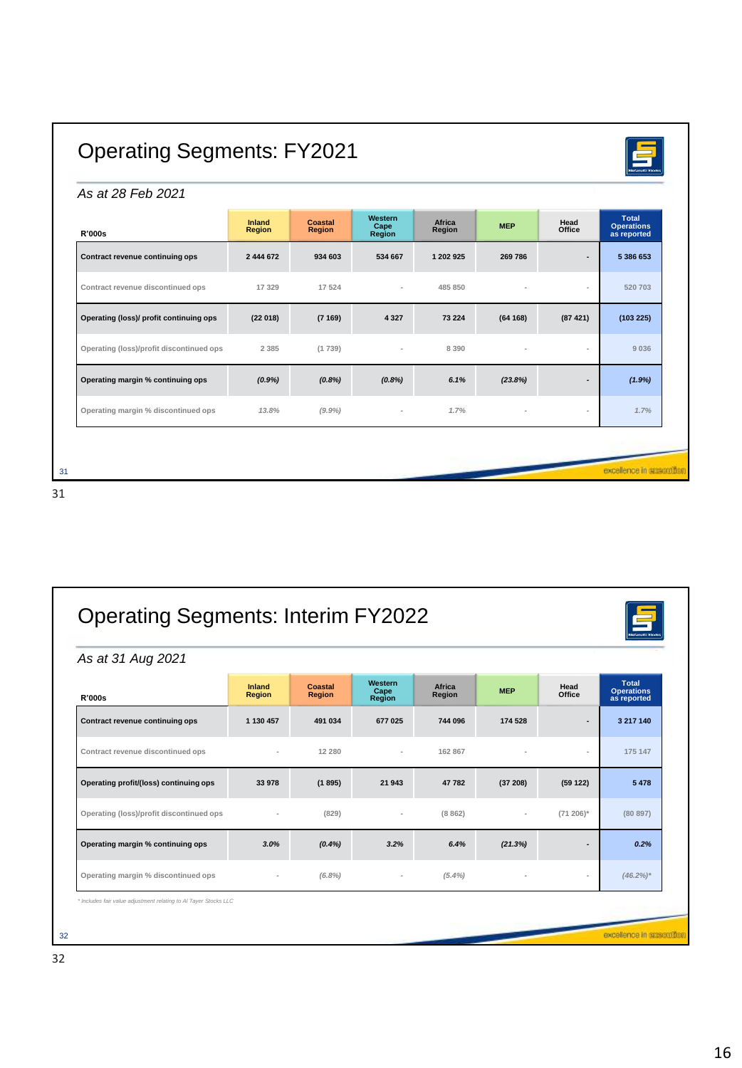# Operating Segments: FY2021

#### *As at 28 Feb 2021*

| <b>R'000s</b>                            | Inland<br><b>Region</b> | <b>Coastal</b><br><b>Region</b> | Western<br>Cape<br>Region | Africa<br>Region | <b>MEP</b> | Head<br>Office | <b>Total</b><br>Operations<br>as reported |
|------------------------------------------|-------------------------|---------------------------------|---------------------------|------------------|------------|----------------|-------------------------------------------|
| Contract revenue continuing ops          | 2 444 672               | 934 603                         | 534 667                   | 1 202 925        | 269 786    | $\overline{a}$ | 5 386 653                                 |
| Contract revenue discontinued ops        | 17329                   | 17 524                          | $\sim$                    | 485 850          |            | $\sim$         | 520 703                                   |
| Operating (loss)/ profit continuing ops  | (22018)                 | (7169)                          | 4 3 2 7                   | 73 224           | (64168)    | (87421)        | (103 225)                                 |
| Operating (loss)/profit discontinued ops | 2 3 8 5                 | (1739)                          | $\blacksquare$            | 8 3 9 0          |            | $\blacksquare$ | 9036                                      |
| Operating margin % continuing ops        | $(0.9\%)$               | (0.8%)                          | (0.8%)                    | 6.1%             | (23.8%)    |                | (1.9%)                                    |
| Operating margin % discontinued ops      | 13.8%                   | (9.9%                           | $\overline{\phantom{a}}$  | 1.7%             |            | $\,$           | 1.7%                                      |
|                                          |                         |                                 |                           |                  |            |                |                                           |
|                                          |                         |                                 |                           |                  |            |                | excellence in essention                   |

| As at 31 Aug 2021                        |                         |                          |                           |                  |            |                          |                                                  |
|------------------------------------------|-------------------------|--------------------------|---------------------------|------------------|------------|--------------------------|--------------------------------------------------|
| <b>R'000s</b>                            | Inland<br><b>Region</b> | Coastal<br><b>Region</b> | Western<br>Cape<br>Region | Africa<br>Region | <b>MEP</b> | Head<br>Office           | <b>Total</b><br><b>Operations</b><br>as reported |
| Contract revenue continuing ops          | 1 130 457               | 491 034                  | 677 025                   | 744 096          | 174 528    |                          | 3 217 140                                        |
| Contract revenue discontinued ops        |                         | 12 280                   | $\sim$                    | 162 867          |            | $\overline{a}$           | 175 147                                          |
| Operating profit/(loss) continuing ops   | 33 978                  | (1895)                   | 21 943                    | 47782            | (37208)    | (59122)                  | 5478                                             |
| Operating (loss)/profit discontinued ops |                         | (829)                    |                           | (8862)           |            | $(71 206)^*$             | (80 897)                                         |
| Operating margin % continuing ops        | 3.0%                    | $(0.4\%)$                | 3.2%                      | 6.4%             | (21.3%)    |                          | 0.2%                                             |
| Operating margin % discontinued ops      |                         | $(6.8\%)$                |                           | $(5.4\%)$        |            | $\overline{\phantom{a}}$ | $(46.2\%)*$                                      |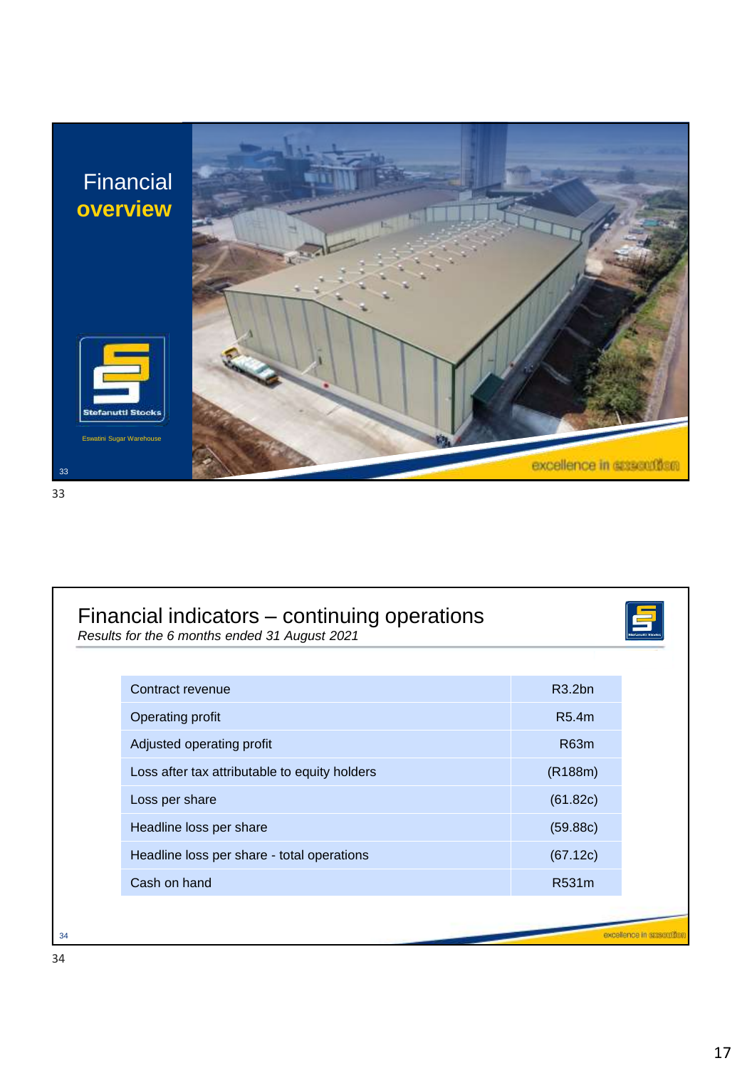

| Contract revenue                              | R3.2bn   |
|-----------------------------------------------|----------|
| Operating profit                              | R5.4m    |
| Adjusted operating profit                     | R63m     |
| Loss after tax attributable to equity holders | (R188m)  |
| Loss per share                                | (61.82c) |
| Headline loss per share                       | (59.88c) |
| Headline loss per share - total operations    | (67.12c) |
| Cash on hand                                  | R531m    |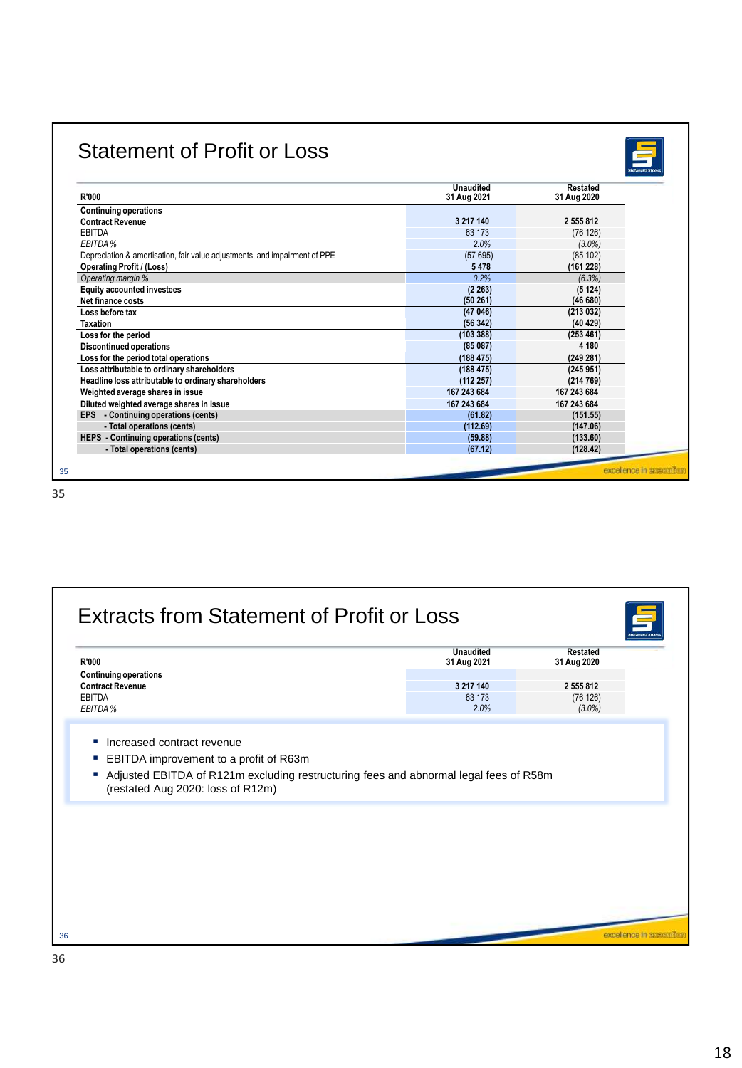### Statement of Profit or Loss



| <b>R'000</b>                                                               | <b>Unaudited</b><br>31 Aug 2021 | <b>Restated</b><br>31 Aug 2020 |
|----------------------------------------------------------------------------|---------------------------------|--------------------------------|
| <b>Continuing operations</b>                                               |                                 |                                |
| <b>Contract Revenue</b>                                                    | 3 217 140                       | 2 555 812                      |
| <b>EBITDA</b>                                                              | 63 173                          | (76126)                        |
| EBITDA %                                                                   | 2.0%                            | $(3.0\%)$                      |
| Depreciation & amortisation, fair value adjustments, and impairment of PPE | (57695)                         | (85102)                        |
| <b>Operating Profit / (Loss)</b>                                           | 5478                            | (161 228)                      |
| Operating margin %                                                         | 0.2%                            | (6.3%)                         |
| <b>Equity accounted investees</b>                                          | (2.263)                         | (5124)                         |
| Net finance costs                                                          | (50261)                         | (46680)                        |
| Loss before tax                                                            | (47046)                         | (213032)                       |
| Taxation                                                                   | (56342)                         | (40 429)                       |
| Loss for the period                                                        | (103 388)                       | (253 461)                      |
| <b>Discontinued operations</b>                                             | (85087)                         | 4 1 8 0                        |
| Loss for the period total operations                                       | (188 475)                       | (249 281)                      |
| Loss attributable to ordinary shareholders                                 | (188475)                        | (245951)                       |
| Headline loss attributable to ordinary shareholders                        | (112 257)                       | (214769)                       |
| Weighted average shares in issue                                           | 167 243 684                     | 167 243 684                    |
| Diluted weighted average shares in issue                                   | 167 243 684                     | 167 243 684                    |
| EPS - Continuing operations (cents)                                        | (61.82)                         | (151.55)                       |
| - Total operations (cents)                                                 | (112.69)                        | (147.06)                       |
| HEPS - Continuing operations (cents)                                       | (59.88)                         | (133.60)                       |
| - Total operations (cents)                                                 | (67.12)                         | (128.42)                       |

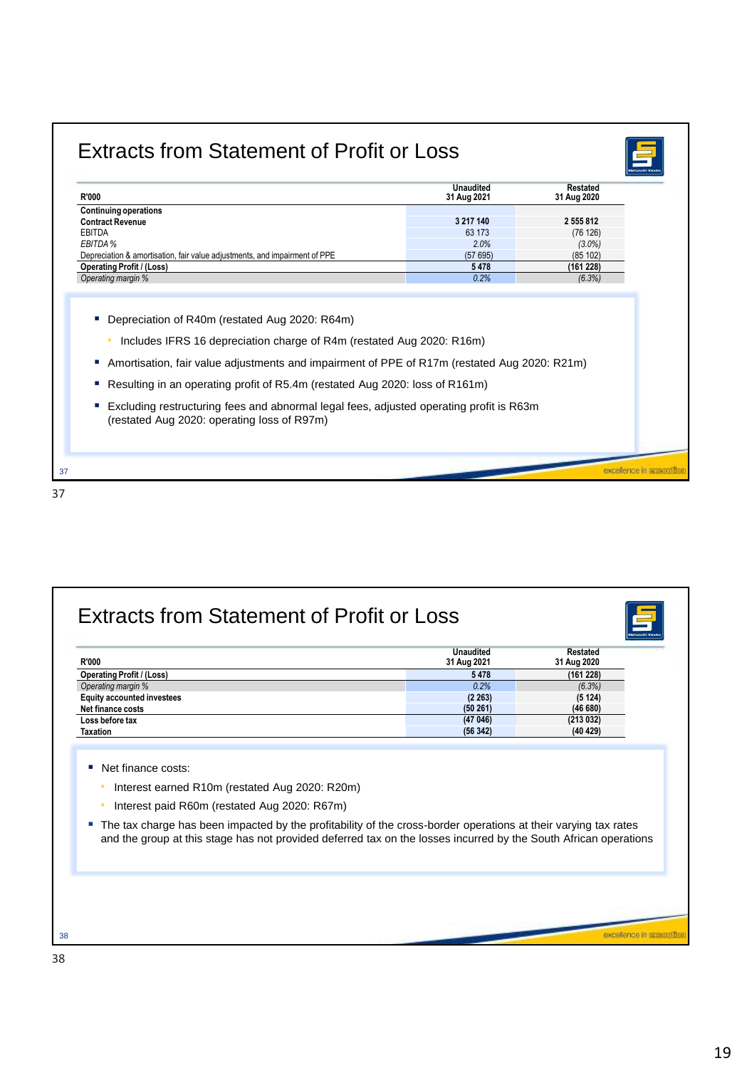## Extracts from Statement of Profit or Loss



| <b>R'000</b>                                                                                                                                                                 | <b>Unaudited</b><br>31 Aug 2021 | <b>Restated</b><br>31 Aug 2020 |
|------------------------------------------------------------------------------------------------------------------------------------------------------------------------------|---------------------------------|--------------------------------|
| <b>Continuing operations</b>                                                                                                                                                 |                                 |                                |
| <b>Contract Revenue</b>                                                                                                                                                      | 3 217 140                       | 2 555 812                      |
| <b>EBITDA</b>                                                                                                                                                                | 63 173                          | (76 126)                       |
| EBITDA %                                                                                                                                                                     | 2.0%                            | $(3.0\%)$                      |
| Depreciation & amortisation, fair value adjustments, and impairment of PPE                                                                                                   | (57695)                         | (85102)                        |
| <b>Operating Profit / (Loss)</b>                                                                                                                                             | 5478                            | (161 228)                      |
| Operating margin %                                                                                                                                                           | 0.2%                            | (6.3%)                         |
| Amortisation, fair value adjustments and impairment of PPE of R17m (restated Aug 2020: R21m)<br>Resulting in an operating profit of R5.4m (restated Aug 2020: loss of R161m) |                                 |                                |
| Excluding restructuring fees and abnormal legal fees, adjusted operating profit is R63m<br>(restated Aug 2020: operating loss of R97m)                                       |                                 |                                |
|                                                                                                                                                                              |                                 | excellence in essentiti        |

| R'000                                                                                                                                                                                                                                                                               | <b>Unaudited</b><br>31 Aug 2021 | <b>Restated</b><br>31 Aug 2020 |
|-------------------------------------------------------------------------------------------------------------------------------------------------------------------------------------------------------------------------------------------------------------------------------------|---------------------------------|--------------------------------|
| <b>Operating Profit / (Loss)</b>                                                                                                                                                                                                                                                    | 5478                            | (161 228)                      |
| Operating margin %                                                                                                                                                                                                                                                                  | 0.2%                            | (6.3%)                         |
| <b>Equity accounted investees</b>                                                                                                                                                                                                                                                   | (2 263)                         | (5124)                         |
| Net finance costs                                                                                                                                                                                                                                                                   | (50261)                         | (46680)                        |
| Loss before tax<br><b>Taxation</b>                                                                                                                                                                                                                                                  | (47046)<br>(56342)              | (213032)<br>(40, 429)          |
| Interest paid R60m (restated Aug 2020: R67m)<br>The tax charge has been impacted by the profitability of the cross-border operations at their varying tax rates<br>and the group at this stage has not provided deferred tax on the losses incurred by the South African operations |                                 |                                |
|                                                                                                                                                                                                                                                                                     |                                 |                                |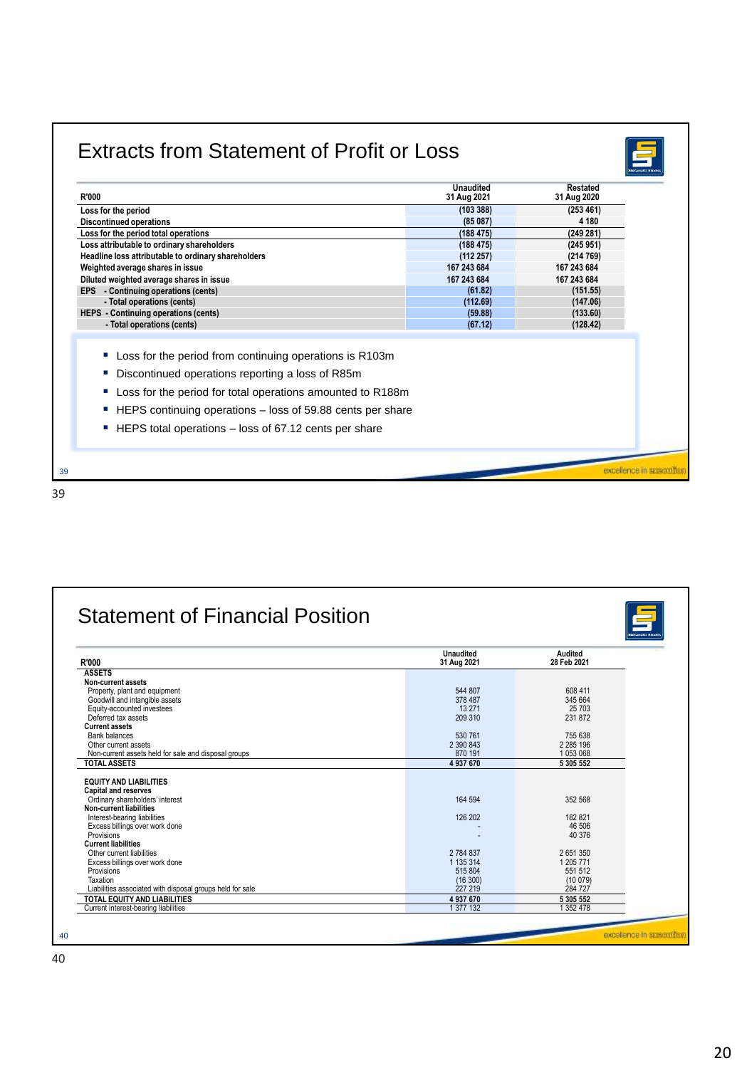## Extracts from Statement of Profit or Loss



| (253 461)<br>(103388)<br>Loss for the period<br>(85087)<br>4 1 8 0<br><b>Discontinued operations</b><br>(249 281)<br>Loss for the period total operations<br>(188475)<br>Loss attributable to ordinary shareholders<br>(188475)<br>(245951)<br>(112 257)<br>(214769)<br>Weighted average shares in issue<br>167 243 684<br>167 243 684<br>167 243 684<br>167 243 684<br>(61.82)<br>(151.55)<br>(112.69)<br>(147.06)<br>- Total operations (cents)<br>(59.88)<br>(133.60)<br>- Total operations (cents)<br>(67.12)<br>(128.42)<br>Loss for the period from continuing operations is R103m<br>a.<br>Discontinued operations reporting a loss of R85m<br>п<br>Loss for the period for total operations amounted to R188m<br>ш<br>HEPS continuing operations - loss of 59.88 cents per share<br>ш<br>HEPS total operations – loss of 67.12 cents per share<br>ш | <b>R'000</b>                                        | <b>Unaudited</b><br>31 Aug 2021 | <b>Restated</b><br>31 Aug 2020 |  |
|-------------------------------------------------------------------------------------------------------------------------------------------------------------------------------------------------------------------------------------------------------------------------------------------------------------------------------------------------------------------------------------------------------------------------------------------------------------------------------------------------------------------------------------------------------------------------------------------------------------------------------------------------------------------------------------------------------------------------------------------------------------------------------------------------------------------------------------------------------------|-----------------------------------------------------|---------------------------------|--------------------------------|--|
|                                                                                                                                                                                                                                                                                                                                                                                                                                                                                                                                                                                                                                                                                                                                                                                                                                                             |                                                     |                                 |                                |  |
|                                                                                                                                                                                                                                                                                                                                                                                                                                                                                                                                                                                                                                                                                                                                                                                                                                                             |                                                     |                                 |                                |  |
|                                                                                                                                                                                                                                                                                                                                                                                                                                                                                                                                                                                                                                                                                                                                                                                                                                                             |                                                     |                                 |                                |  |
|                                                                                                                                                                                                                                                                                                                                                                                                                                                                                                                                                                                                                                                                                                                                                                                                                                                             |                                                     |                                 |                                |  |
| Diluted weighted average shares in issue<br>EPS - Continuing operations (cents)<br>HEPS - Continuing operations (cents)                                                                                                                                                                                                                                                                                                                                                                                                                                                                                                                                                                                                                                                                                                                                     | Headline loss attributable to ordinary shareholders |                                 |                                |  |
|                                                                                                                                                                                                                                                                                                                                                                                                                                                                                                                                                                                                                                                                                                                                                                                                                                                             |                                                     |                                 |                                |  |
|                                                                                                                                                                                                                                                                                                                                                                                                                                                                                                                                                                                                                                                                                                                                                                                                                                                             |                                                     |                                 |                                |  |
|                                                                                                                                                                                                                                                                                                                                                                                                                                                                                                                                                                                                                                                                                                                                                                                                                                                             |                                                     |                                 |                                |  |
|                                                                                                                                                                                                                                                                                                                                                                                                                                                                                                                                                                                                                                                                                                                                                                                                                                                             |                                                     |                                 |                                |  |
|                                                                                                                                                                                                                                                                                                                                                                                                                                                                                                                                                                                                                                                                                                                                                                                                                                                             |                                                     |                                 |                                |  |
|                                                                                                                                                                                                                                                                                                                                                                                                                                                                                                                                                                                                                                                                                                                                                                                                                                                             |                                                     |                                 |                                |  |
|                                                                                                                                                                                                                                                                                                                                                                                                                                                                                                                                                                                                                                                                                                                                                                                                                                                             |                                                     |                                 |                                |  |
|                                                                                                                                                                                                                                                                                                                                                                                                                                                                                                                                                                                                                                                                                                                                                                                                                                                             |                                                     |                                 | excellence in appeal           |  |

| <b>R'000</b>                                              | <b>Unaudited</b><br>31 Aug 2021 | Audited<br>28 Feb 2021 |
|-----------------------------------------------------------|---------------------------------|------------------------|
| <b>ASSETS</b>                                             |                                 |                        |
| Non-current assets                                        |                                 |                        |
| Property, plant and equipment                             | 544 807                         | 608 411                |
| Goodwill and intangible assets                            | 378 487                         | 345 664                |
| Equity-accounted investees                                | 13 271                          | 25 703                 |
| Deferred tax assets                                       | 209 310                         | 231 872                |
| <b>Current assets</b>                                     |                                 |                        |
| <b>Bank balances</b>                                      | 530 761                         | 755 638                |
| Other current assets                                      | 2 390 843                       | 2 2 8 5 1 9 6          |
| Non-current assets held for sale and disposal groups      | 870 191                         | 1 053 068              |
| <b>TOTAL ASSETS</b>                                       | 4937670                         | 5 305 552              |
|                                                           |                                 |                        |
| <b>EQUITY AND LIABILITIES</b>                             |                                 |                        |
| <b>Capital and reserves</b>                               |                                 |                        |
| Ordinary shareholders' interest                           | 164 594                         | 352 568                |
| Non-current liabilities                                   |                                 |                        |
| Interest-bearing liabilities                              | 126 202                         | 182 821                |
| Excess billings over work done                            |                                 | 46 506                 |
| Provisions                                                |                                 | 40 376                 |
| <b>Current liabilities</b><br>Other current liabilities   | 2 784 837                       | 2651350                |
|                                                           | 1 135 314                       | 1 205 771              |
| Excess billings over work done<br>Provisions              | 515 804                         | 551 512                |
| Taxation                                                  | (16300)                         | (10079)                |
| Liabilities associated with disposal groups held for sale | 227 219                         | 284 727                |
| TOTAL EQUITY AND LIABILITIES                              | 4937670                         | 5 305 552              |
| Current interest-bearing liabilities                      | 1 377 132                       | 1 3 5 2 4 7 8          |
|                                                           |                                 |                        |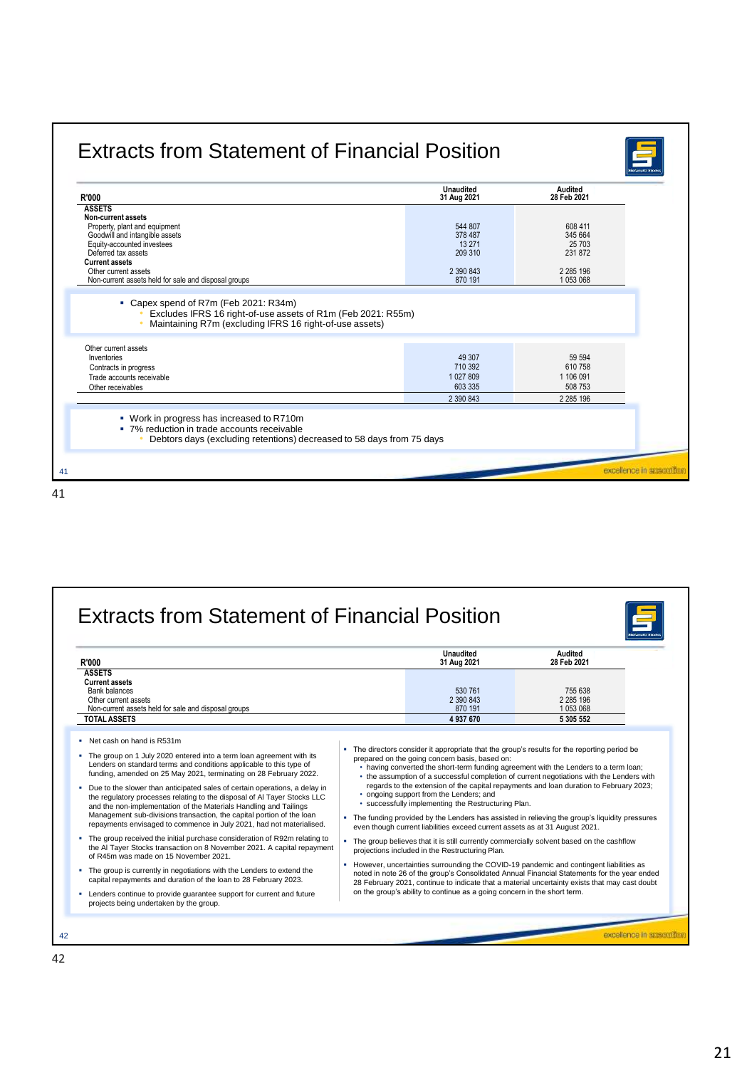| <b>R'000</b>                                                          | <b>Unaudited</b><br>31 Aug 2021 | <b>Audited</b><br>28 Feb 2021 |
|-----------------------------------------------------------------------|---------------------------------|-------------------------------|
| <b>ASSETS</b>                                                         |                                 |                               |
| Non-current assets                                                    |                                 |                               |
| Property, plant and equipment                                         | 544 807<br>378 487              | 608 411<br>345 664            |
| Goodwill and intangible assets<br>Equity-accounted investees          | 13 271                          | 25 703                        |
| Deferred tax assets                                                   | 209 310                         | 231 872                       |
| <b>Current assets</b>                                                 |                                 |                               |
| Other current assets                                                  | 2 390 843                       | 2 2 8 5 1 9 6                 |
| Non-current assets held for sale and disposal groups                  | 870 191                         | 1053068                       |
| Maintaining R7m (excluding IFRS 16 right-of-use assets)               |                                 |                               |
| Other current assets                                                  |                                 |                               |
| Inventories                                                           | 49 30 7                         | 59 594                        |
| Contracts in progress                                                 | 710 392                         | 610 758                       |
|                                                                       | 1 027 809                       | 1 106 091                     |
| Trade accounts receivable                                             |                                 | 508 753                       |
| Other receivables                                                     | 603 335                         |                               |
|                                                                       | 2 390 843                       | 2 2 8 5 1 9 6                 |
|                                                                       |                                 |                               |
| • Work in progress has increased to R710m                             |                                 |                               |
| • 7% reduction in trade accounts receivable                           |                                 |                               |
|                                                                       |                                 |                               |
| Debtors days (excluding retentions) decreased to 58 days from 75 days |                                 |                               |

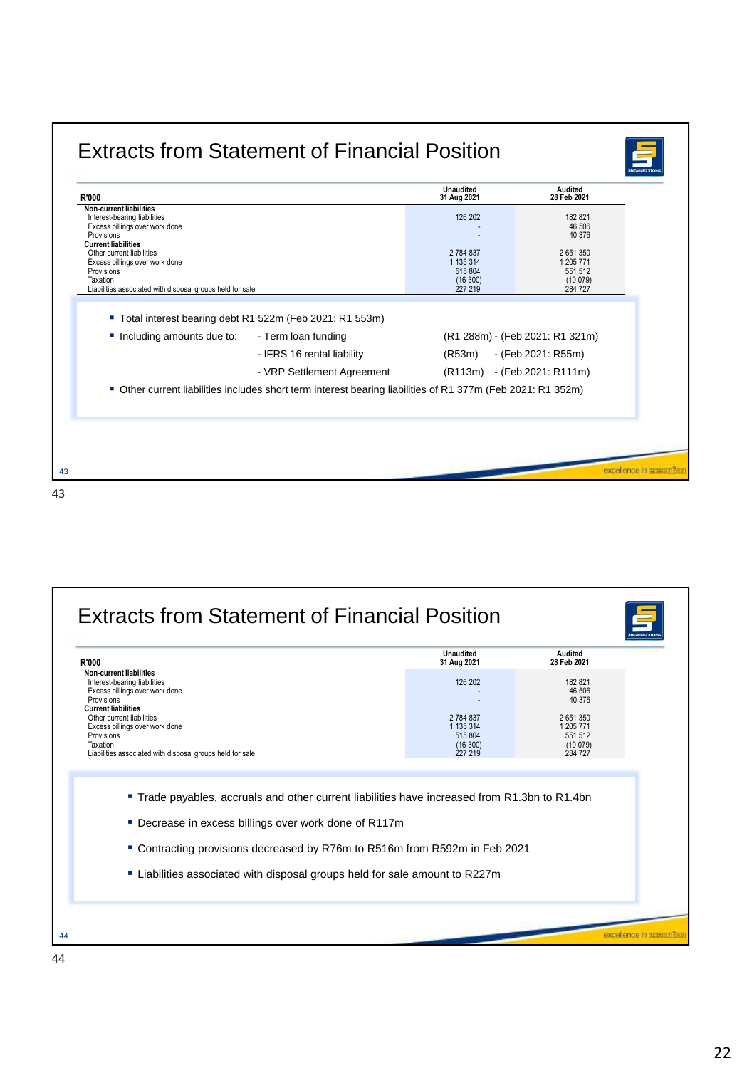| R'000                                                                                                                                                                            |                                                                                                             | <b>Unaudited</b><br>31 Aug 2021                       | Audited<br>28 Feb 2021                                |
|----------------------------------------------------------------------------------------------------------------------------------------------------------------------------------|-------------------------------------------------------------------------------------------------------------|-------------------------------------------------------|-------------------------------------------------------|
| Non-current liabilities<br>Interest-bearing liabilities<br>Excess billings over work done<br>Provisions                                                                          |                                                                                                             | 126 202                                               | 182 821<br>46 506<br>40 376                           |
| <b>Current liabilities</b><br>Other current liabilities<br>Excess billings over work done<br>Provisions<br>Taxation<br>Liabilities associated with disposal groups held for sale |                                                                                                             | 2784837<br>1 135 314<br>515 804<br>(16300)<br>227 219 | 2651350<br>1 205 771<br>551 512<br>(10079)<br>284 727 |
|                                                                                                                                                                                  | ■ Total interest bearing debt R1 522m (Feb 2021: R1 553m)                                                   |                                                       |                                                       |
| Including amounts due to:                                                                                                                                                        | - Term loan funding                                                                                         |                                                       | (R1 288m) - (Feb 2021: R1 321m)                       |
|                                                                                                                                                                                  | - IFRS 16 rental liability                                                                                  | (R53m)                                                | - (Feb 2021: R55m)                                    |
|                                                                                                                                                                                  | - VRP Settlement Agreement                                                                                  |                                                       | (R113m) - (Feb 2021: R111m)                           |
|                                                                                                                                                                                  | ■ Other current liabilities includes short term interest bearing liabilities of R1 377m (Feb 2021: R1 352m) |                                                       |                                                       |
|                                                                                                                                                                                  |                                                                                                             |                                                       |                                                       |

| <b>R'000</b>                                                                                                                                                                                                | <b>Unaudited</b><br>31 Aug 2021   | Audited<br>28 Feb 2021                             |  |
|-------------------------------------------------------------------------------------------------------------------------------------------------------------------------------------------------------------|-----------------------------------|----------------------------------------------------|--|
| <b>Non-current liabilities</b><br>Interest-bearing liabilities<br>Excess billings over work done<br>Provisions<br><b>Current liabilities</b><br>Other current liabilities<br>Excess billings over work done | 126 202<br>2 784 837<br>1 135 314 | 182821<br>46 506<br>40 376<br>2651350<br>1 205 771 |  |
| Provisions<br>Taxation<br>Liabilities associated with disposal groups held for sale                                                                                                                         | 515 804<br>(16300)<br>227 219     | 551 512<br>(10079)<br>284 727                      |  |
| ■ Trade payables, accruals and other current liabilities have increased from R1.3bn to R1.4bn                                                                                                               |                                   |                                                    |  |
| ■ Decrease in excess billings over work done of R117m<br>■ Contracting provisions decreased by R76m to R516m from R592m in Feb 2021                                                                         |                                   |                                                    |  |
| ■ Liabilities associated with disposal groups held for sale amount to R227m                                                                                                                                 |                                   |                                                    |  |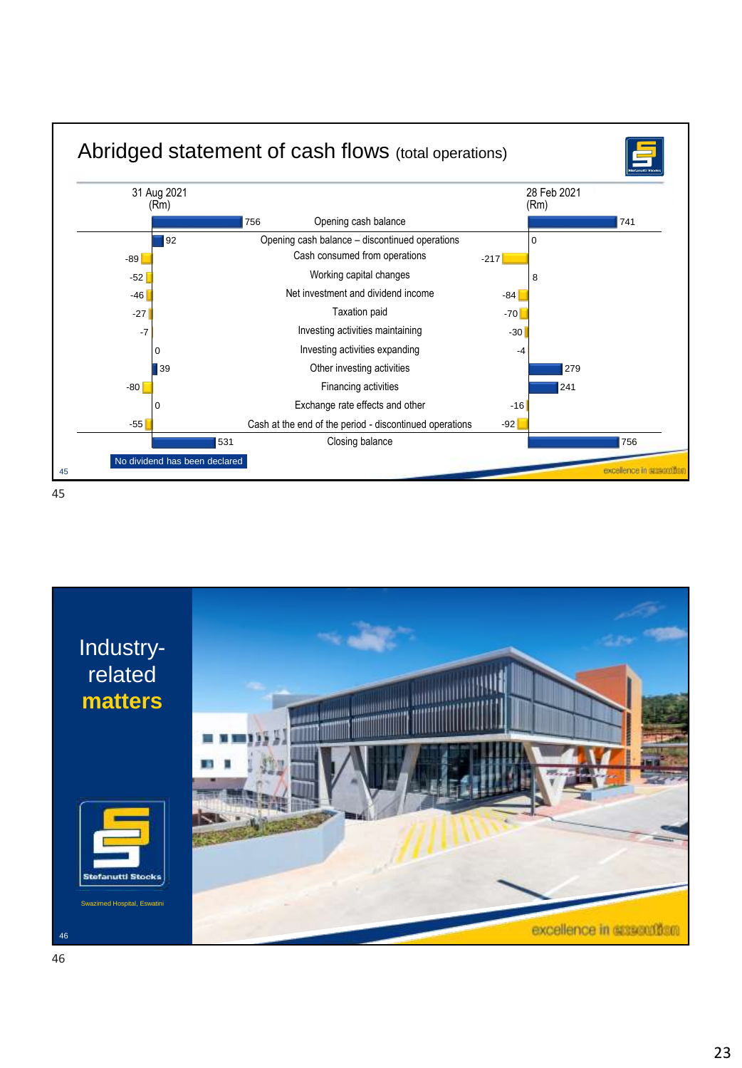

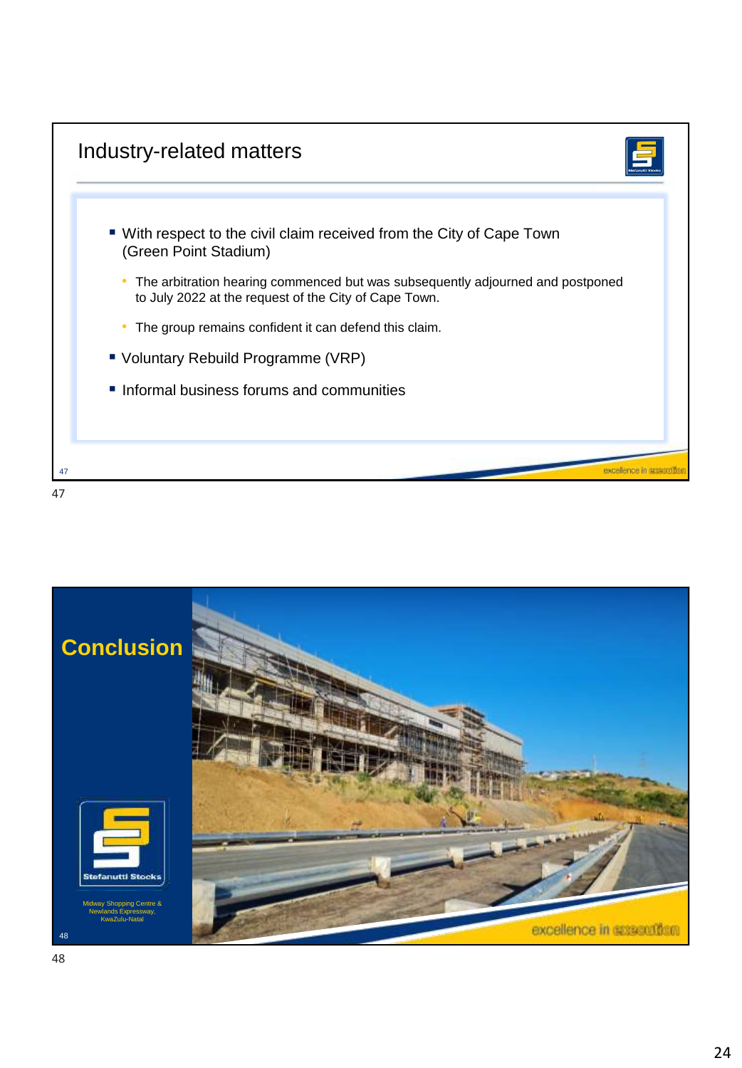

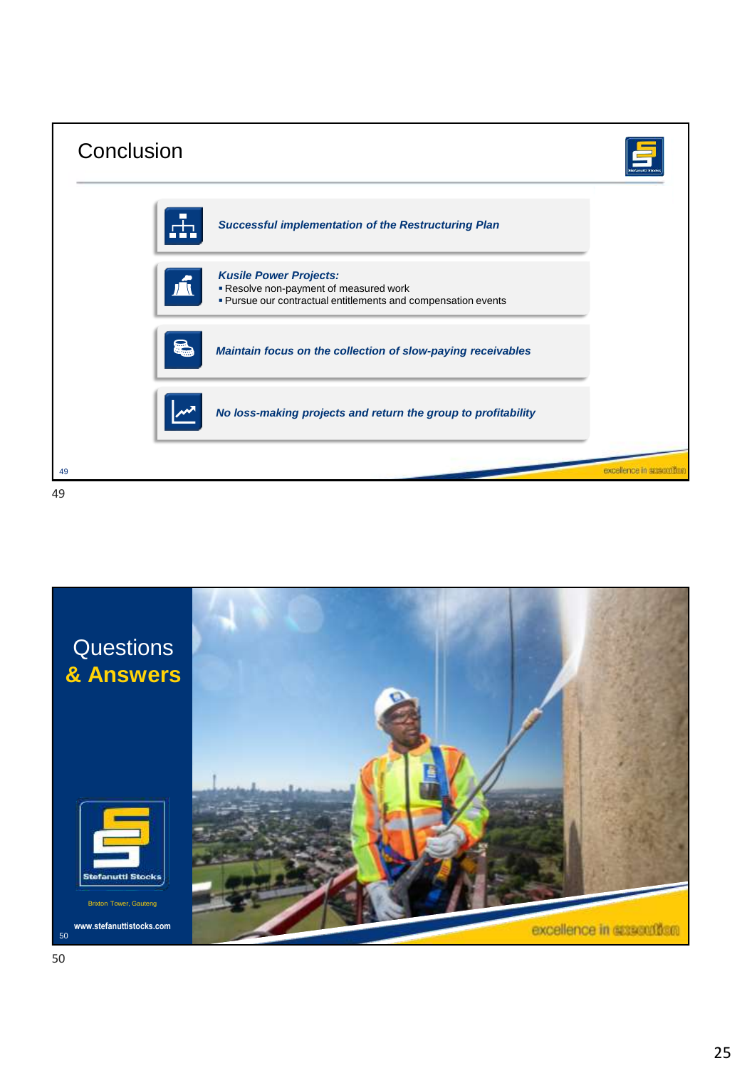| Conclusion |                                                                                                                                        |                   |
|------------|----------------------------------------------------------------------------------------------------------------------------------------|-------------------|
|            | <b>Successful implementation of the Restructuring Plan</b>                                                                             |                   |
|            | <b>Kusile Power Projects:</b><br>Resolve non-payment of measured work<br>. Pursue our contractual entitlements and compensation events |                   |
|            | Maintain focus on the collection of slow-paying receivables                                                                            |                   |
|            | No loss-making projects and return the group to profitability                                                                          |                   |
| 49<br>49   |                                                                                                                                        | excellence in agg |